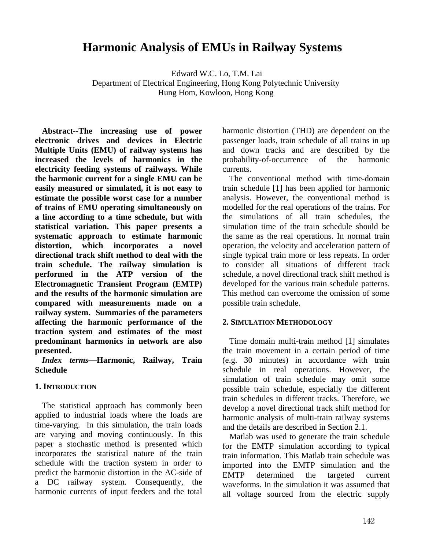# **Harmonic Analysis of EMUs in Railway Systems**

 Edward W.C. Lo, T.M. Lai Department of Electrical Engineering, Hong Kong Polytechnic University Hung Hom, Kowloon, Hong Kong

**Abstract--The increasing use of power electronic drives and devices in Electric Multiple Units (EMU) of railway systems has increased the levels of harmonics in the electricity feeding systems of railways. While the harmonic current for a single EMU can be easily measured or simulated, it is not easy to estimate the possible worst case for a number of trains of EMU operating simultaneously on a line according to a time schedule, but with statistical variation. This paper presents a systematic approach to estimate harmonic distortion, which incorporates a novel directional track shift method to deal with the train schedule. The railway simulation is performed in the ATP version of the Electromagnetic Transient Program (EMTP) and the results of the harmonic simulation are compared with measurements made on a railway system. Summaries of the parameters affecting the harmonic performance of the traction system and estimates of the most predominant harmonics in network are also presented.** 

*Index terms***—Harmonic, Railway, Train Schedule** 

#### **1. INTRODUCTION**

The statistical approach has commonly been applied to industrial loads where the loads are time-varying. In this simulation, the train loads are varying and moving continuously. In this paper a stochastic method is presented which incorporates the statistical nature of the train schedule with the traction system in order to predict the harmonic distortion in the AC-side of a DC railway system. Consequently, the harmonic currents of input feeders and the total harmonic distortion (THD) are dependent on the passenger loads, train schedule of all trains in up and down tracks and are described by the probability-of-occurrence of the harmonic currents.

The conventional method with time-domain train schedule [1] has been applied for harmonic analysis. However, the conventional method is modelled for the real operations of the trains. For the simulations of all train schedules, the simulation time of the train schedule should be the same as the real operations. In normal train operation, the velocity and acceleration pattern of single typical train more or less repeats. In order to consider all situations of different track schedule, a novel directional track shift method is developed for the various train schedule patterns. This method can overcome the omission of some possible train schedule.

#### **2. SIMULATION METHODOLOGY**

Time domain multi-train method [1] simulates the train movement in a certain period of time (e.g. 30 minutes) in accordance with train schedule in real operations. However, the simulation of train schedule may omit some possible train schedule, especially the different train schedules in different tracks. Therefore, we develop a novel directional track shift method for harmonic analysis of multi-train railway systems and the details are described in Section 2.1.

Matlab was used to generate the train schedule for the EMTP simulation according to typical train information. This Matlab train schedule was imported into the EMTP simulation and the EMTP determined the targeted current waveforms. In the simulation it was assumed that all voltage sourced from the electric supply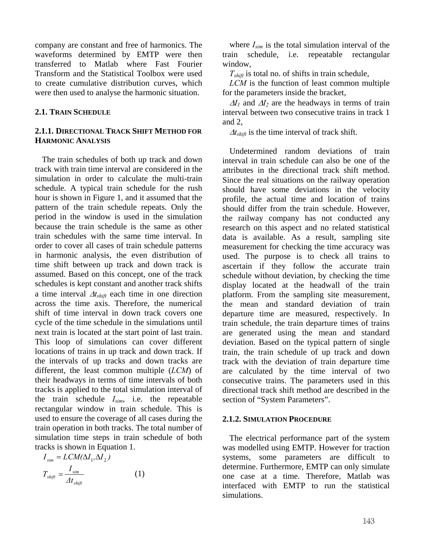company are constant and free of harmonics. The waveforms determined by EMTP were then transferred to Matlab where Fast Fourier Transform and the Statistical Toolbox were used to create cumulative distribution curves, which were then used to analyse the harmonic situation.

#### **2.1. TRAIN SCHEDULE**

## **2.1.1. DIRECTIONAL TRACK SHIFT METHOD FOR HARMONIC ANALYSIS**

The train schedules of both up track and down track with train time interval are considered in the simulation in order to calculate the multi-train schedule. A typical train schedule for the rush hour is shown in Figure 1, and it assumed that the pattern of the train schedule repeats. Only the period in the window is used in the simulation because the train schedule is the same as other train schedules with the same time interval. In order to cover all cases of train schedule patterns in harmonic analysis, the even distribution of time shift between up track and down track is assumed. Based on this concept, one of the track schedules is kept constant and another track shifts a time interval ∆*tshift* each time in one direction across the time axis. Therefore, the numerical shift of time interval in down track covers one cycle of the time schedule in the simulations until next train is located at the start point of last train. This loop of simulations can cover different locations of trains in up track and down track. If the intervals of up tracks and down tracks are different, the least common multiple (*LCM*) of their headways in terms of time intervals of both tracks is applied to the total simulation interval of the train schedule *Isim*, i.e. the repeatable rectangular window in train schedule. This is used to ensure the coverage of all cases during the train operation in both tracks. The total number of simulation time steps in train schedule of both tracks is shown in Equation 1.

$$
I_{sim} = LCM(\Delta I_1, \Delta I_2)
$$
  
\n
$$
T_{shift} = \frac{I_{sim}}{\Delta t_{shift}}
$$
 (1)

where *Isim* is the total simulation interval of the train schedule, i.e. repeatable rectangular window,

 $T_{shift}$  is total no. of shifts in train schedule,

*LCM* is the function of least common multiple for the parameters inside the bracket,

 $\Delta l_1$  and  $\Delta l_2$  are the headways in terms of train interval between two consecutive trains in track 1 and 2,

<sup>∆</sup>*tshift* is the time interval of track shift.

Undetermined random deviations of train interval in train schedule can also be one of the attributes in the directional track shift method. Since the real situations on the railway operation should have some deviations in the velocity profile, the actual time and location of trains should differ from the train schedule. However, the railway company has not conducted any research on this aspect and no related statistical data is available. As a result, sampling site measurement for checking the time accuracy was used. The purpose is to check all trains to ascertain if they follow the accurate train schedule without deviation, by checking the time display located at the headwall of the train platform. From the sampling site measurement, the mean and standard deviation of train departure time are measured, respectively. In train schedule, the train departure times of trains are generated using the mean and standard deviation. Based on the typical pattern of single train, the train schedule of up track and down track with the deviation of train departure time are calculated by the time interval of two consecutive trains. The parameters used in this directional track shift method are described in the section of "System Parameters".

#### **2.1.2. SIMULATION PROCEDURE**

The electrical performance part of the system was modelled using EMTP. However for traction systems, some parameters are difficult to determine. Furthermore, EMTP can only simulate one case at a time. Therefore, Matlab was interfaced with EMTP to run the statistical simulations.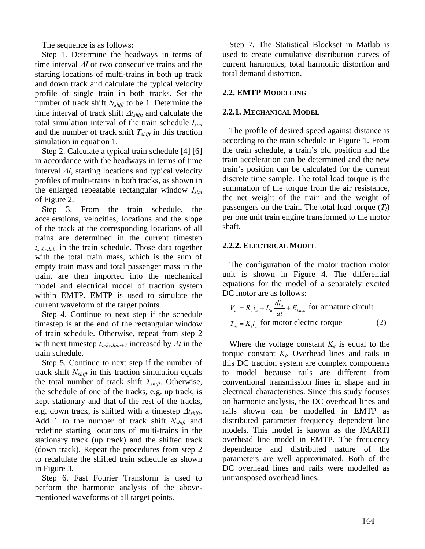The sequence is as follows:

Step 1. Determine the headways in terms of time interval <sup>∆</sup>*I* of two consecutive trains and the starting locations of multi-trains in both up track and down track and calculate the typical velocity profile of single train in both tracks. Set the number of track shift *N<sub>shift</sub>* to be 1. Determine the time interval of track shift ∆*tshift* and calculate the total simulation interval of the train schedule *Isim* and the number of track shift  $T_{shift}$  in this traction simulation in equation 1.

Step 2. Calculate a typical train schedule [4] [6] in accordance with the headways in terms of time interval ∆*I*, starting locations and typical velocity profiles of multi-trains in both tracks, as shown in the enlarged repeatable rectangular window *Isim* of Figure 2.

Step 3. From the train schedule, the accelerations, velocities, locations and the slope of the track at the corresponding locations of all trains are determined in the current timestep *tschedule* in the train schedule. Those data together with the total train mass, which is the sum of empty train mass and total passenger mass in the train, are then imported into the mechanical model and electrical model of traction system within EMTP. EMTP is used to simulate the current waveform of the target points.

Step 4. Continue to next step if the schedule timestep is at the end of the rectangular window of train schedule. Otherwise, repeat from step 2 with next timestep *tschedule+1* increased by ∆*t* in the train schedule.

Step 5. Continue to next step if the number of track shift  $N_{\text{shift}}$  in this traction simulation equals the total number of track shift *Tshift*. Otherwise, the schedule of one of the tracks, e.g. up track, is kept stationary and that of the rest of the tracks, e.g. down track, is shifted with a timestep ∆*tshift*. Add 1 to the number of track shift *Nshift* and redefine starting locations of multi-trains in the stationary track (up track) and the shifted track (down track). Repeat the procedures from step 2 to recalulate the shifted train schedule as shown in Figure 3.

Step 6. Fast Fourier Transform is used to perform the harmonic analysis of the abovementioned waveforms of all target points.

Step 7. The Statistical Blockset in Matlab is used to create cumulative distribution curves of current harmonics, total harmonic distortion and total demand distortion.

# **2.2. EMTP MODELLING**

#### **2.2.1. MECHANICAL MODEL**

The profile of desired speed against distance is according to the train schedule in Figure 1. From the train schedule, a train's old position and the train acceleration can be determined and the new train's position can be calculated for the current discrete time sample. The total load torque is the summation of the torque from the air resistance, the net weight of the train and the weight of passengers on the train. The total load torque  $(T_l)$ per one unit train engine transformed to the motor shaft.

## **2.2.2. ELECTRICAL MODEL**

The configuration of the motor traction motor unit is shown in Figure 4. The differential equations for the model of a separately excited DC motor are as follows:

$$
V_a = R_a i_a + L_a \frac{di_a}{dt} + E_{back} \text{ for armature circuit}
$$
  

$$
T_m = K_i i_a \text{ for motor electric torque}
$$
 (2)

Where the voltage constant  $K_e$  is equal to the torque constant  $K_t$ . Overhead lines and rails in this DC traction system are complex components to model because rails are different from conventional transmission lines in shape and in electrical characteristics. Since this study focuses on harmonic analysis, the DC overhead lines and rails shown can be modelled in EMTP as distributed parameter frequency dependent line models. This model is known as the JMARTI overhead line model in EMTP. The frequency dependence and distributed nature of the parameters are well approximated. Both of the DC overhead lines and rails were modelled as untransposed overhead lines.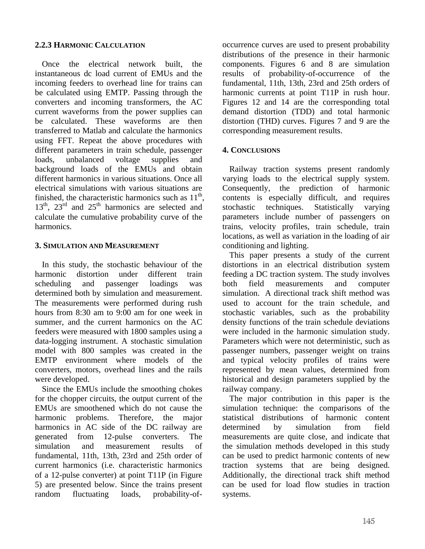#### **2.2.3 HARMONIC CALCULATION**

Once the electrical network built, the instantaneous dc load current of EMUs and the incoming feeders to overhead line for trains can be calculated using EMTP. Passing through the converters and incoming transformers, the AC current waveforms from the power supplies can be calculated. These waveforms are then transferred to Matlab and calculate the harmonics using FFT. Repeat the above procedures with different parameters in train schedule, passenger loads, unbalanced voltage supplies and background loads of the EMUs and obtain different harmonics in various situations. Once all electrical simulations with various situations are finished, the characteristic harmonics such as  $11<sup>th</sup>$ ,  $13<sup>th</sup>$ ,  $23<sup>rd</sup>$  and  $25<sup>th</sup>$  harmonics are selected and calculate the cumulative probability curve of the harmonics.

#### **3. SIMULATION AND MEASUREMENT**

In this study, the stochastic behaviour of the harmonic distortion under different train scheduling and passenger loadings was determined both by simulation and measurement. The measurements were performed during rush hours from 8:30 am to 9:00 am for one week in summer, and the current harmonics on the AC feeders were measured with 1800 samples using a data-logging instrument. A stochastic simulation model with 800 samples was created in the EMTP environment where models of the converters, motors, overhead lines and the rails were developed.

Since the EMUs include the smoothing chokes for the chopper circuits, the output current of the EMUs are smoothened which do not cause the harmonic problems. Therefore, the major harmonics in AC side of the DC railway are generated from 12-pulse converters. The simulation and measurement results of fundamental, 11th, 13th, 23rd and 25th order of current harmonics (i.e. characteristic harmonics of a 12-pulse converter) at point T11P (in Figure 5) are presented below. Since the trains present random fluctuating loads, probability-ofoccurrence curves are used to present probability distributions of the presence in their harmonic components. Figures 6 and 8 are simulation results of probability-of-occurrence of the fundamental, 11th, 13th, 23rd and 25th orders of harmonic currents at point T11P in rush hour. Figures 12 and 14 are the corresponding total demand distortion (TDD) and total harmonic distortion (THD) curves. Figures 7 and 9 are the corresponding measurement results.

#### **4. CONCLUSIONS**

Railway traction systems present randomly varying loads to the electrical supply system. Consequently, the prediction of harmonic contents is especially difficult, and requires stochastic techniques. Statistically varying parameters include number of passengers on trains, velocity profiles, train schedule, train locations, as well as variation in the loading of air conditioning and lighting.

This paper presents a study of the current distortions in an electrical distribution system feeding a DC traction system. The study involves both field measurements and computer simulation. A directional track shift method was used to account for the train schedule, and stochastic variables, such as the probability density functions of the train schedule deviations were included in the harmonic simulation study. Parameters which were not deterministic, such as passenger numbers, passenger weight on trains and typical velocity profiles of trains were represented by mean values, determined from historical and design parameters supplied by the railway company.

The major contribution in this paper is the simulation technique: the comparisons of the statistical distributions of harmonic content determined by simulation from field measurements are quite close, and indicate that the simulation methods developed in this study can be used to predict harmonic contents of new traction systems that are being designed. Additionally, the directional track shift method can be used for load flow studies in traction systems.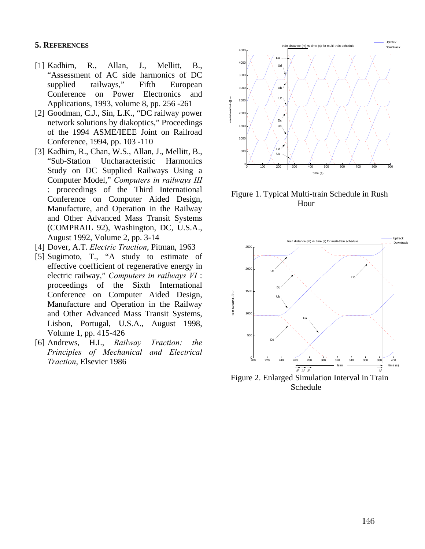#### **5. REFERENCES**

- [1] Kadhim, R., Allan, J., Mellitt, B., "Assessment of AC side harmonics of DC supplied railways," Fifth European Conference on Power Electronics and Applications, 1993, volume 8, pp. 256 -261
- [2] Goodman, C.J., Sin, L.K., "DC railway power network solutions by diakoptics," Proceedings of the 1994 ASME/IEEE Joint on Railroad Conference, 1994, pp. 103 -110
- [3] Kadhim, R., Chan, W.S., Allan, J., Mellitt, B., "Sub-Station Uncharacteristic Harmonics Study on DC Supplied Railways Using a Computer Model," *Computers in railways III* : proceedings of the Third International Conference on Computer Aided Design, Manufacture, and Operation in the Railway and Other Advanced Mass Transit Systems (COMPRAIL 92), Washington, DC, U.S.A., August 1992, Volume 2, pp. 3-14
- [4] Dover, A.T. *Electric Traction*, Pitman, 1963
- [5] Sugimoto, T., "A study to estimate of effective coefficient of regenerative energy in electric railway," *Computers in railways VI* : proceedings of the Sixth International Conference on Computer Aided Design, Manufacture and Operation in the Railway and Other Advanced Mass Transit Systems, Lisbon, Portugal, U.S.A., August 1998, Volume 1, pp. 415-426
- [6] Andrews, H.I., *Railway Traction: the Principles of Mechanical and Electrical Traction*, Elsevier 1986



Figure 1. Typical Multi-train Schedule in Rush Hour



Figure 2. Enlarged Simulation Interval in Train Schedule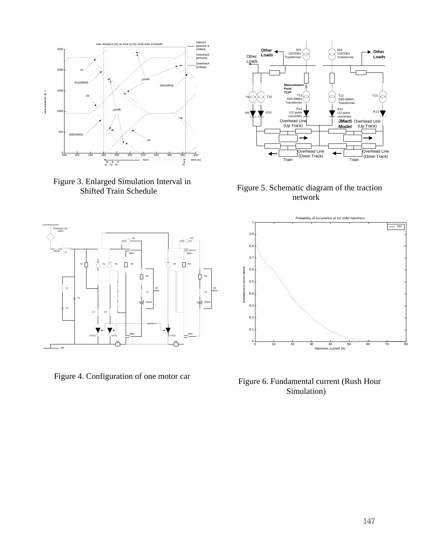

Figure 3. Enlarged Simulation Interval in Shifted Train Schedule



Figure 4. Configuration of one motor car



Figure 5. Schematic diagram of the traction network



Figure 6. Fundamental current (Rush Hour Simulation)